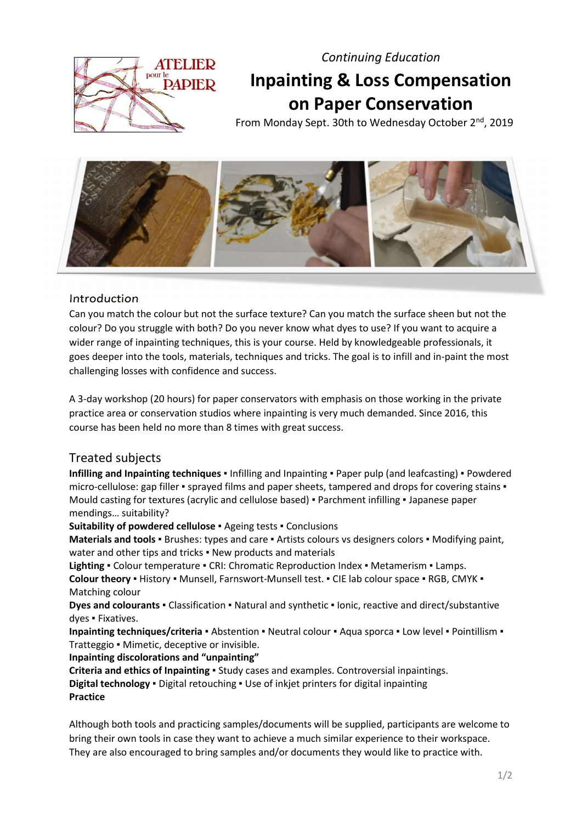**ATELIED PAPIER**  Continuing Education

# Inpainting & Loss Compensation on Paper Conservation

From Monday Sept. 30th to Wednesday October 2<sup>nd</sup>, 2019



## **Introduction**

Can you match the colour but not the surface texture? Can you match the surface sheen but not the colour? Do you struggle with both? Do you never know what dyes to use? If you want to acquire a wider range of inpainting techniques, this is your course. Held by knowledgeable professionals, it goes deeper into the tools, materials, techniques and tricks. The goal is to infill and in-paint the most challenging losses with confidence and success.

A 3-day workshop (20 hours) for paper conservators with emphasis on those working in the private practice area or conservation studios where inpainting is very much demanded. Since 2016, this course has been held no more than 8 times with great success.

# Treated subjects

Infilling and Inpainting techniques • Infilling and Inpainting • Paper pulp (and leafcasting) • Powdered micro-cellulose: gap filler • sprayed films and paper sheets, tampered and drops for covering stains • Mould casting for textures (acrylic and cellulose based) ▪ Parchment infilling ▪ Japanese paper mendings… suitability?

Suitability of powdered cellulose ▪ Ageing tests ▪ Conclusions

Materials and tools · Brushes: types and care · Artists colours vs designers colors · Modifying paint, water and other tips and tricks • New products and materials

Lighting • Colour temperature • CRI: Chromatic Reproduction Index • Metamerism • Lamps. Colour theory . History . Munsell, Farnswort-Munsell test. . CIE lab colour space . RGB, CMYK . Matching colour

Dyes and colourants • Classification • Natural and synthetic • Ionic, reactive and direct/substantive dyes ▪ Fixatives.

Inpainting techniques/criteria • Abstention • Neutral colour • Aqua sporca • Low level • Pointillism • Tratteggio ▪ Mimetic, deceptive or invisible.

### Inpainting discolorations and "unpainting"

Criteria and ethics of Inpainting • Study cases and examples. Controversial inpaintings. Digital technology · Digital retouching · Use of inkjet printers for digital inpainting Practice

Although both tools and practicing samples/documents will be supplied, participants are welcome to bring their own tools in case they want to achieve a much similar experience to their workspace. They are also encouraged to bring samples and/or documents they would like to practice with.